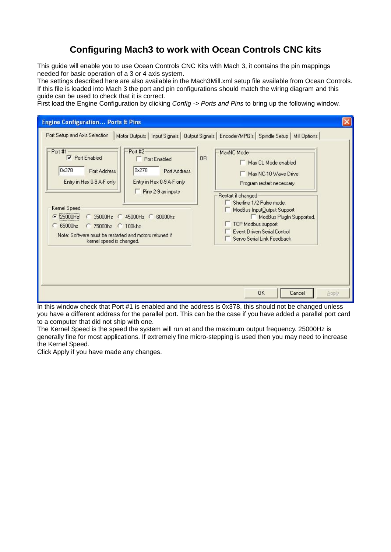# **Configuring Mach3 to work with Ocean Controls CNC kits**

This guide will enable you to use Ocean Controls CNC Kits with Mach 3, it contains the pin mappings needed for basic operation of a 3 or 4 axis system.

The settings described here are also available in the Mach3Mill.xml setup file available from Ocean Controls. If this file is loaded into Mach 3 the port and pin configurations should match the wiring diagram and this guide can be used to check that it is correct.

First load the Engine Configuration by clicking *Config -> Ports and Pins* to bring up the following window.



In this window check that Port #1 is enabled and the address is 0x378, this should not be changed unless you have a different address for the parallel port. This can be the case if you have added a parallel port card to a computer that did not ship with one.

The Kernel Speed is the speed the system will run at and the maximum output frequency. 25000Hz is generally fine for most applications. If extremely fine micro-stepping is used then you may need to increase the Kernel Speed.

Click Apply if you have made any changes.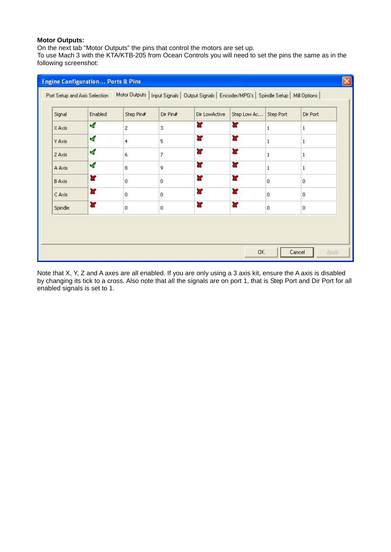## **Motor Outputs:**

On the next tab "Motor Outputs" the pins that control the motors are set up.

To use Mach 3 with the KTA/KTB-205 from Ocean Controls you will need to set the pins the same as in the following screenshot:

| Signal        | Enabled | Step Pin#      | Dir Pin#         | Dir LowActive | Step Low Ac Step Port   |                | Dir Port       |
|---------------|---------|----------------|------------------|---------------|-------------------------|----------------|----------------|
| X Axis        | d.      | $\overline{c}$ | $\overline{3}$   | ď             | $\overline{\mathbf{x}}$ | $\mathbf{1}$   | $\mathbf{1}$   |
| Y Axis        | ×,      | $\overline{4}$ | 5                | 8Ż            | æ                       | $\,$ 1 $\,$    | $\,$ 1 $\,$    |
| Z Axis        | ×,      | 6              | 7                | Y             | <b>R</b>                | $\mathbf{1}$   | $\mathbf{1}$   |
| A Axis        | 4       | 8              | 9                | æ             | æ                       | $\mathbf{1}$   | $\mathbf{1}$   |
| <b>B</b> Axis | æ       | $\overline{0}$ | $\overline{0}$   | æ             | ×                       | $\overline{0}$ | $\overline{0}$ |
| C Axis        | 87      | 0              | $\,0$            | 8Ż            | æ                       | 0              | 0              |
| Spindle       | 87      | 0              | $\boldsymbol{0}$ | 83            | æ                       | $\mathbf 0$    | $\overline{0}$ |
|               |         |                |                  |               |                         |                |                |

Note that X, Y, Z and A axes are all enabled. If you are only using a 3 axis kit, ensure the A axis is disabled by changing its tick to a cross. Also note that all the signals are on port 1, that is Step Port and Dir Port for all enabled signals is set to 1.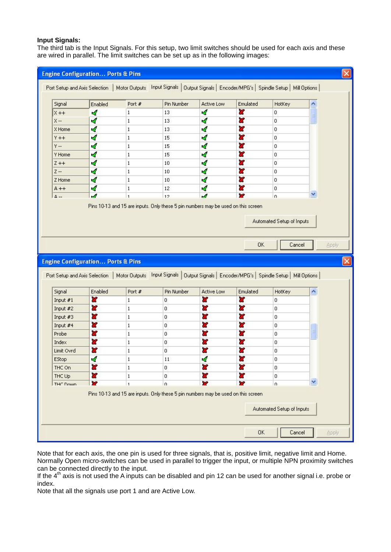#### **Input Signals:**

The third tab is the Input Signals. For this setup, two limit switches should be used for each axis and these are wired in parallel. The limit switches can be set up as in the following images:

| Signal                                                                                        | Enabled                                      | Port #         | Pin Number                                                                                                                    | Active Low        | Emulated | HotKey                              |                     |
|-----------------------------------------------------------------------------------------------|----------------------------------------------|----------------|-------------------------------------------------------------------------------------------------------------------------------|-------------------|----------|-------------------------------------|---------------------|
| $X + +$                                                                                       | A                                            | $\mathbf{1}$   | 13                                                                                                                            | ×,                | æ        | $\overline{0}$                      |                     |
| $X -$                                                                                         | ∢                                            | $\mathbf{1}$   | 13                                                                                                                            | ×,                | ď        | $\overline{0}$                      |                     |
| X Home                                                                                        | ∢                                            | $\mathbf{1}$   | 13                                                                                                                            | ×,                | æ        | 0                                   |                     |
| $Y + +$                                                                                       | ø                                            | $\mathbf{1}$   | 15                                                                                                                            | ø                 | ď        | $\mathbf 0$                         |                     |
| $Y - Y$                                                                                       | ∢                                            | $\mathbf{1}$   | 15                                                                                                                            | ×,                | æ        | $\overline{0}$                      |                     |
| Y Home                                                                                        | ∢                                            | $\mathbf{1}$   | 15                                                                                                                            | $\mathcal{A}$     | ×        | $\overline{0}$                      |                     |
| $Z + +$                                                                                       | <b>A</b>                                     | $\mathbf{1}$   | 10                                                                                                                            | ×,                | æ        | $\overline{0}$                      |                     |
| $Z -$                                                                                         | A                                            | $\mathbf{1}$   | 10                                                                                                                            | ∢                 | a        | $\mathbf 0$                         |                     |
| Z Home                                                                                        | ∢                                            | $\mathbf{1}$   | 10                                                                                                                            | ×,                | X        | $\overline{0}$                      |                     |
| $A + +$                                                                                       | 4                                            | $\mathbf{1}$   | 12                                                                                                                            | ×,                | x        | $\overline{0}$                      |                     |
| $\Delta$ --                                                                                   | $\overline{a}$                               | $\overline{1}$ | 12                                                                                                                            | A                 | X.       | n                                   | $\checkmark$        |
|                                                                                               | <b>Engine Configuration Ports &amp; Pins</b> |                |                                                                                                                               |                   | OK       | Automated Setup of Inputs<br>Cancel | Apply               |
|                                                                                               |                                              |                | Port Setup and Axis Selection   Motor Outputs   Input Signals   Output Signals   Encoder/MPG's   Spindle Setup   Mill Options |                   |          |                                     |                     |
| Signal                                                                                        | Enabled                                      | Port #         | Pin Number                                                                                                                    | <b>Active Low</b> | Emulated | HotKey                              | $\hat{\phantom{a}}$ |
| Input $#1$                                                                                    | $\overline{\mathbf{x}}$                      | $\mathbf{1}$   | 0                                                                                                                             | ×                 | ×        | 0                                   |                     |
|                                                                                               | ×                                            | $\mathbf{1}$   | 0                                                                                                                             | 2P                | ×        | 0                                   |                     |
|                                                                                               | æ                                            | $\mathbf{1}$   | 0                                                                                                                             | æ                 | æ        | 0                                   |                     |
|                                                                                               | æ                                            | $\mathbf{1}$   | 0                                                                                                                             | a,                | x        | 0                                   |                     |
|                                                                                               | X                                            | $\mathbf{1}$   | 0                                                                                                                             | 87                | x        | 0                                   | Ξ                   |
|                                                                                               | ×                                            | $\mathbf{1}$   | 0                                                                                                                             | æ                 | æ        | 0                                   |                     |
|                                                                                               | ď                                            | $\mathbf{1}$   | 0                                                                                                                             | x                 | ×        | 0                                   |                     |
|                                                                                               | Ā                                            | 1              | 11                                                                                                                            | ∢                 | 87       | 0                                   |                     |
|                                                                                               | U.                                           | 1              | 0                                                                                                                             | ×                 | 83       | 0                                   |                     |
| Input #2<br>Input #3<br>Input #4<br>Probe<br>Index<br>Limit Ovrd<br>EStop<br>THC On<br>THC Up | a.                                           | $\mathbf{1}$   | 0                                                                                                                             | æ                 | X        | 0                                   |                     |
| THE DOMD                                                                                      | x                                            | $\overline{1}$ | $\Omega$<br>Pins 10-13 and 15 are inputs. Only these 5 pin numbers may be used on this screen                                 | 22                | ×        | n                                   | M                   |

Note that for each axis, the one pin is used for three signals, that is, positive limit, negative limit and Home. Normally Open micro-switches can be used in parallel to trigger the input, or multiple NPN proximity switches can be connected directly to the input.

If the  $4<sup>th</sup>$  axis is not used the A inputs can be disabled and pin 12 can be used for another signal i.e. probe or index.

Note that all the signals use port 1 and are Active Low.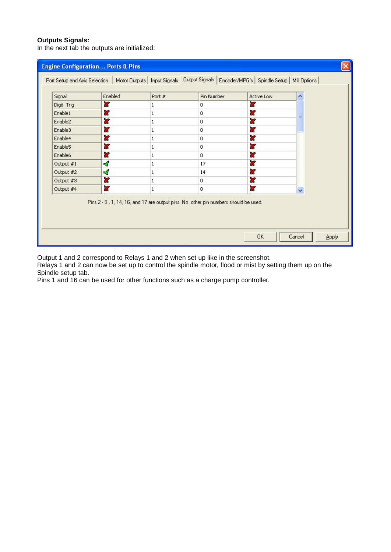#### **Outputs Signals:**

In the next tab the outputs are initialized:

| Signal              | Enabled | Port #                                                                               | Pin Number  | Active Low | ۸ |
|---------------------|---------|--------------------------------------------------------------------------------------|-------------|------------|---|
| Digit Trig          | ×       | 1                                                                                    | 0           | 83         |   |
| Enable1             | ಜ       | 1                                                                                    | 0           | 83         |   |
| Enable2             | æ       | 1                                                                                    | 0           | 87         |   |
| Enable3             | ×       | 1                                                                                    | 0           | æ          |   |
| Enable4             | 83      | $\mathbf{1}$                                                                         | 0           | 83         |   |
| Enable <sub>5</sub> | 83      | $\mathbf{1}$                                                                         | 0           | 87         |   |
| Enable6             | 83      | 1                                                                                    | $\mathbf 0$ | 83         |   |
| Output #1           | ø       | 1                                                                                    | 17          | æ          |   |
| Output #2           | ×,      | $\mathbf{1}$                                                                         | 14          | 83         |   |
| Output #3           | ď       | 1                                                                                    | 0           | 83         |   |
| Output #4           | æ       | 1                                                                                    | 0           | a.<br>÷    | v |
|                     |         | Pins 2 - 9 , 1, 14, 16, and 17 are output pins. No other pin numbers should be used. |             |            |   |

Output 1 and 2 correspond to Relays 1 and 2 when set up like in the screenshot.

Relays 1 and 2 can now be set up to control the spindle motor, flood or mist by setting them up on the Spindle setup tab.

Pins 1 and 16 can be used for other functions such as a charge pump controller.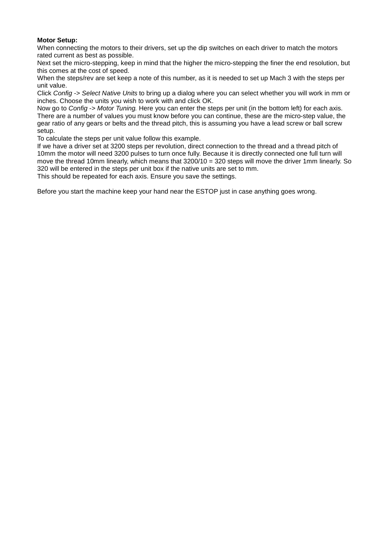## **Motor Setup:**

When connecting the motors to their drivers, set up the dip switches on each driver to match the motors rated current as best as possible.

Next set the micro-stepping, keep in mind that the higher the micro-stepping the finer the end resolution, but this comes at the cost of speed.

When the steps/rev are set keep a note of this number, as it is needed to set up Mach 3 with the steps per unit value.

Click *Config -> Select Native Units* to bring up a dialog where you can select whether you will work in mm or inches. Choose the units you wish to work with and click OK.

Now go to *Config -> Motor Tuning.* Here you can enter the steps per unit (in the bottom left) for each axis. There are a number of values you must know before you can continue, these are the micro-step value, the gear ratio of any gears or belts and the thread pitch, this is assuming you have a lead screw or ball screw setup.

To calculate the steps per unit value follow this example.

If we have a driver set at 3200 steps per revolution, direct connection to the thread and a thread pitch of 10mm the motor will need 3200 pulses to turn once fully. Because it is directly connected one full turn will move the thread 10mm linearly, which means that 3200/10 = 320 steps will move the driver 1mm linearly. So 320 will be entered in the steps per unit box if the native units are set to mm.

This should be repeated for each axis. Ensure you save the settings.

Before you start the machine keep your hand near the ESTOP just in case anything goes wrong.